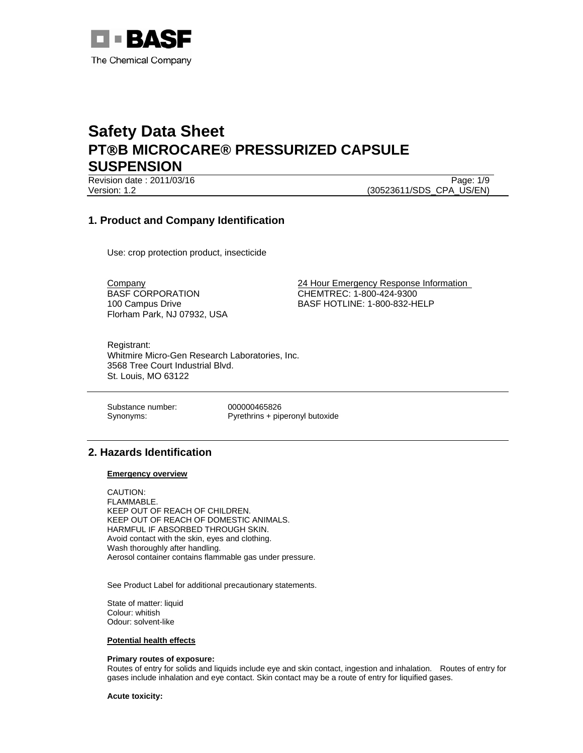

Revision date : 2011/03/16 Page: 1/9 Version: 1.2 (30523611/SDS\_CPA\_US/EN)

## **1. Product and Company Identification**

Use: crop protection product, insecticide

BASF CORPORATION 100 Campus Drive Florham Park, NJ 07932, USA

Company 24 Hour Emergency Response Information CHEMTREC: 1-800-424-9300 BASF HOTLINE: 1-800-832-HELP

Registrant: Whitmire Micro-Gen Research Laboratories, Inc. 3568 Tree Court Industrial Blvd. St. Louis, MO 63122

Substance number: 000000465826

Synonyms: Pyrethrins + piperonyl butoxide

## **2. Hazards Identification**

#### **Emergency overview**

CAUTION: FLAMMABLE. KEEP OUT OF REACH OF CHILDREN. KEEP OUT OF REACH OF DOMESTIC ANIMALS. HARMFUL IF ABSORBED THROUGH SKIN. Avoid contact with the skin, eyes and clothing. Wash thoroughly after handling. Aerosol container contains flammable gas under pressure.

See Product Label for additional precautionary statements.

State of matter: liquid Colour: whitish Odour: solvent-like

#### **Potential health effects**

#### **Primary routes of exposure:**

Routes of entry for solids and liquids include eye and skin contact, ingestion and inhalation. Routes of entry for gases include inhalation and eye contact. Skin contact may be a route of entry for liquified gases.

**Acute toxicity:**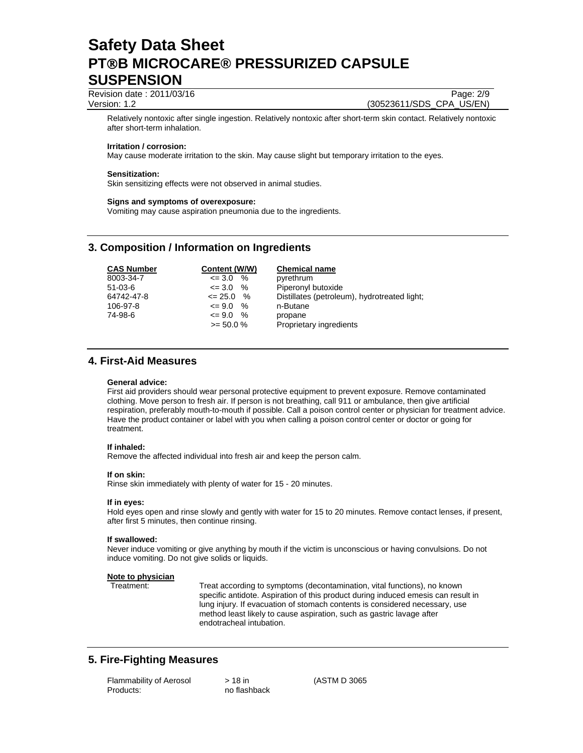Revision date : 2011/03/16 Page: 2/9 Version: 1.2 (30523611/SDS\_CPA\_US/EN)

Relatively nontoxic after single ingestion. Relatively nontoxic after short-term skin contact. Relatively nontoxic after short-term inhalation.

#### **Irritation / corrosion:**

May cause moderate irritation to the skin. May cause slight but temporary irritation to the eyes.

#### **Sensitization:**

Skin sensitizing effects were not observed in animal studies.

#### **Signs and symptoms of overexposure:**

Vomiting may cause aspiration pneumonia due to the ingredients.

### **3. Composition / Information on Ingredients**

| <b>CAS Number</b> | Content (W/W)         | <b>Chemical name</b>                         |
|-------------------|-----------------------|----------------------------------------------|
| 8003-34-7         | $\%$<br>$\leq$ 3.0    | pyrethrum                                    |
| $51-03-6$         | %<br>$\leq$ 3.0       | Piperonyl butoxide                           |
| 64742-47-8        | $\leq$ 25.0 %         | Distillates (petroleum), hydrotreated light; |
| 106-97-8          | %<br>$\epsilon = 9.0$ | n-Butane                                     |
| 74-98-6           | $\leq$ 9.0 %          | propane                                      |
|                   | $>= 50.0 %$           | Proprietary ingredients                      |

### **4. First-Aid Measures**

#### **General advice:**

First aid providers should wear personal protective equipment to prevent exposure. Remove contaminated clothing. Move person to fresh air. If person is not breathing, call 911 or ambulance, then give artificial respiration, preferably mouth-to-mouth if possible. Call a poison control center or physician for treatment advice. Have the product container or label with you when calling a poison control center or doctor or going for treatment.

#### **If inhaled:**

Remove the affected individual into fresh air and keep the person calm.

#### **If on skin:**

Rinse skin immediately with plenty of water for 15 - 20 minutes.

#### **If in eyes:**

Hold eyes open and rinse slowly and gently with water for 15 to 20 minutes. Remove contact lenses, if present, after first 5 minutes, then continue rinsing.

#### **If swallowed:**

Never induce vomiting or give anything by mouth if the victim is unconscious or having convulsions. Do not induce vomiting. Do not give solids or liquids.

#### **Note to physician**

Treatment: Treat according to symptoms (decontamination, vital functions), no known specific antidote. Aspiration of this product during induced emesis can result in lung injury. If evacuation of stomach contents is considered necessary, use method least likely to cause aspiration, such as gastric lavage after endotracheal intubation.

### **5. Fire-Fighting Measures**

| Flammability of Aerosol | > 18 in      |
|-------------------------|--------------|
| Products:               | no flashback |

(ASTM D 3065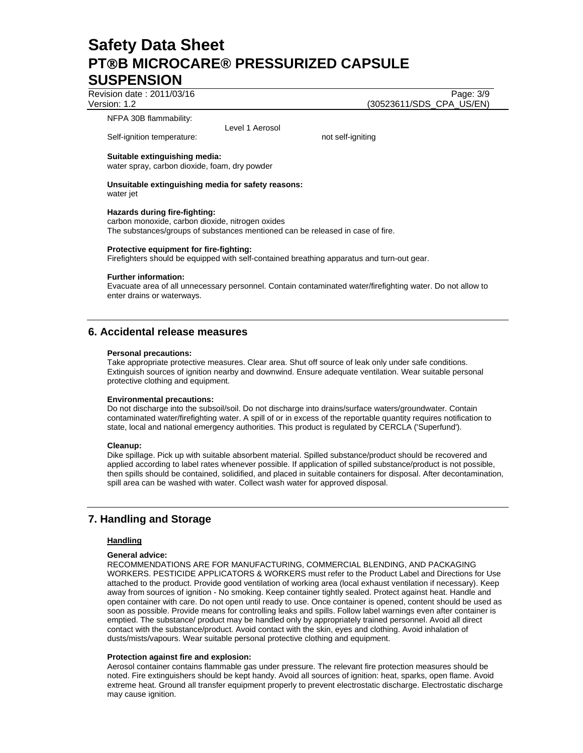Revision date : 2011/03/16 Page: 3/9

Version: 1.2 (30523611/SDS\_CPA\_US/EN)

NFPA 30B flammability:

Level 1 Aerosol

Self-ignition temperature: not self-igniting

#### **Suitable extinguishing media:**

water spray, carbon dioxide, foam, dry powder

#### **Unsuitable extinguishing media for safety reasons:**  water jet

**Hazards during fire-fighting:**  carbon monoxide, carbon dioxide, nitrogen oxides The substances/groups of substances mentioned can be released in case of fire.

#### **Protective equipment for fire-fighting:**

Firefighters should be equipped with self-contained breathing apparatus and turn-out gear.

#### **Further information:**

Evacuate area of all unnecessary personnel. Contain contaminated water/firefighting water. Do not allow to enter drains or waterways.

## **6. Accidental release measures**

#### **Personal precautions:**

Take appropriate protective measures. Clear area. Shut off source of leak only under safe conditions. Extinguish sources of ignition nearby and downwind. Ensure adequate ventilation. Wear suitable personal protective clothing and equipment.

#### **Environmental precautions:**

Do not discharge into the subsoil/soil. Do not discharge into drains/surface waters/groundwater. Contain contaminated water/firefighting water. A spill of or in excess of the reportable quantity requires notification to state, local and national emergency authorities. This product is regulated by CERCLA ('Superfund').

#### **Cleanup:**

Dike spillage. Pick up with suitable absorbent material. Spilled substance/product should be recovered and applied according to label rates whenever possible. If application of spilled substance/product is not possible, then spills should be contained, solidified, and placed in suitable containers for disposal. After decontamination, spill area can be washed with water. Collect wash water for approved disposal.

## **7. Handling and Storage**

#### **Handling**

#### **General advice:**

RECOMMENDATIONS ARE FOR MANUFACTURING, COMMERCIAL BLENDING, AND PACKAGING WORKERS. PESTICIDE APPLICATORS & WORKERS must refer to the Product Label and Directions for Use attached to the product. Provide good ventilation of working area (local exhaust ventilation if necessary). Keep away from sources of ignition - No smoking. Keep container tightly sealed. Protect against heat. Handle and open container with care. Do not open until ready to use. Once container is opened, content should be used as soon as possible. Provide means for controlling leaks and spills. Follow label warnings even after container is emptied. The substance/ product may be handled only by appropriately trained personnel. Avoid all direct contact with the substance/product. Avoid contact with the skin, eyes and clothing. Avoid inhalation of dusts/mists/vapours. Wear suitable personal protective clothing and equipment.

#### **Protection against fire and explosion:**

Aerosol container contains flammable gas under pressure. The relevant fire protection measures should be noted. Fire extinguishers should be kept handy. Avoid all sources of ignition: heat, sparks, open flame. Avoid extreme heat. Ground all transfer equipment properly to prevent electrostatic discharge. Electrostatic discharge may cause ignition.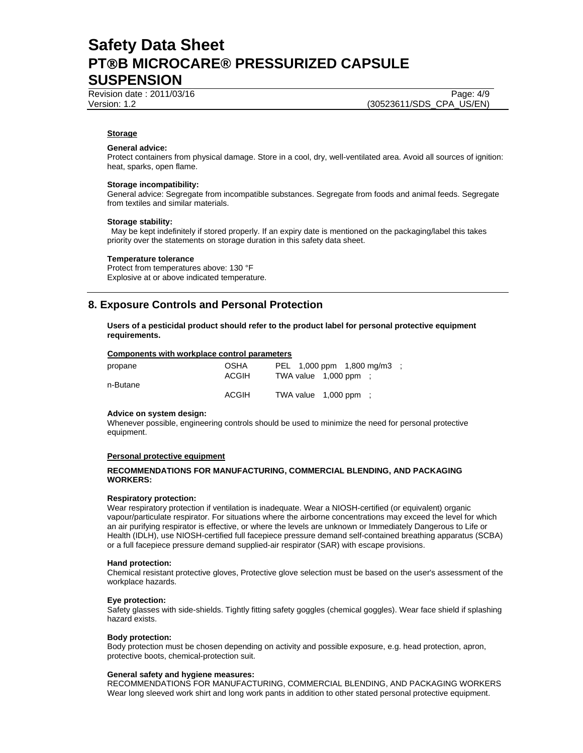Revision date : 2011/03/16 Page: 4/9

Version: 1.2 (30523611/SDS\_CPA\_US/EN)

#### **Storage**

#### **General advice:**

Protect containers from physical damage. Store in a cool, dry, well-ventilated area. Avoid all sources of ignition: heat, sparks, open flame.

#### **Storage incompatibility:**

General advice: Segregate from incompatible substances. Segregate from foods and animal feeds. Segregate from textiles and similar materials.

#### **Storage stability:**

 May be kept indefinitely if stored properly. If an expiry date is mentioned on the packaging/label this takes priority over the statements on storage duration in this safety data sheet.

#### **Temperature tolerance**

Protect from temperatures above: 130 °F Explosive at or above indicated temperature.

## **8. Exposure Controls and Personal Protection**

**Users of a pesticidal product should refer to the product label for personal protective equipment requirements.** 

#### **Components with workplace control parameters**

| propane  | <b>OSHA</b><br>ACGIH | PEL 1,000 ppm 1,800 mg/m3 :<br>TWA value $1,000$ ppm : |  |  |
|----------|----------------------|--------------------------------------------------------|--|--|
| n-Butane |                      |                                                        |  |  |
|          | ACGIH                | TWA value $1,000$ ppm :                                |  |  |

#### **Advice on system design:**

Whenever possible, engineering controls should be used to minimize the need for personal protective equipment.

#### **Personal protective equipment**

#### **RECOMMENDATIONS FOR MANUFACTURING, COMMERCIAL BLENDING, AND PACKAGING WORKERS:**

#### **Respiratory protection:**

Wear respiratory protection if ventilation is inadequate. Wear a NIOSH-certified (or equivalent) organic vapour/particulate respirator. For situations where the airborne concentrations may exceed the level for which an air purifying respirator is effective, or where the levels are unknown or Immediately Dangerous to Life or Health (IDLH), use NIOSH-certified full facepiece pressure demand self-contained breathing apparatus (SCBA) or a full facepiece pressure demand supplied-air respirator (SAR) with escape provisions.

#### **Hand protection:**

Chemical resistant protective gloves, Protective glove selection must be based on the user's assessment of the workplace hazards.

#### **Eye protection:**

Safety glasses with side-shields. Tightly fitting safety goggles (chemical goggles). Wear face shield if splashing hazard exists.

#### **Body protection:**

Body protection must be chosen depending on activity and possible exposure, e.g. head protection, apron, protective boots, chemical-protection suit.

#### **General safety and hygiene measures:**

RECOMMENDATIONS FOR MANUFACTURING, COMMERCIAL BLENDING, AND PACKAGING WORKERS Wear long sleeved work shirt and long work pants in addition to other stated personal protective equipment.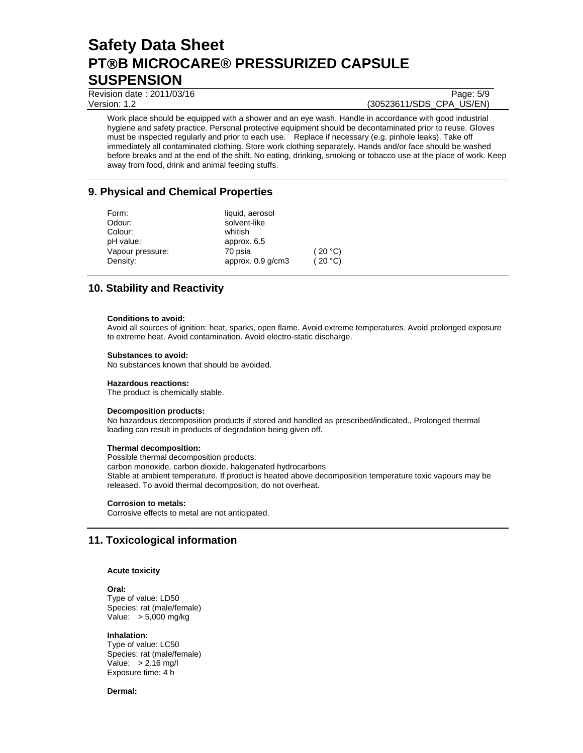Revision date : 2011/03/16 Page: 5/9

Version: 1.2 (30523611/SDS\_CPA\_US/EN)

Work place should be equipped with a shower and an eye wash. Handle in accordance with good industrial hygiene and safety practice. Personal protective equipment should be decontaminated prior to reuse. Gloves must be inspected regularly and prior to each use. Replace if necessary (e.g. pinhole leaks). Take off immediately all contaminated clothing. Store work clothing separately. Hands and/or face should be washed before breaks and at the end of the shift. No eating, drinking, smoking or tobacco use at the place of work. Keep away from food, drink and animal feeding stuffs.

## **9. Physical and Chemical Properties**

| Form:<br>Odour:      | liquid, aerosol<br>solvent-like |         |
|----------------------|---------------------------------|---------|
| Colour:<br>pH value: | whitish<br>approx. 6.5          |         |
| Vapour pressure:     | 70 psia                         | (20 °C) |
| Density:             | approx. $0.9$ g/cm $3$          | (20 °C) |

## **10. Stability and Reactivity**

#### **Conditions to avoid:**

Avoid all sources of ignition: heat, sparks, open flame. Avoid extreme temperatures. Avoid prolonged exposure to extreme heat. Avoid contamination. Avoid electro-static discharge.

#### **Substances to avoid:**

No substances known that should be avoided.

#### **Hazardous reactions:**

The product is chemically stable.

#### **Decomposition products:**

No hazardous decomposition products if stored and handled as prescribed/indicated., Prolonged thermal loading can result in products of degradation being given off.

#### **Thermal decomposition:**

Possible thermal decomposition products: carbon monoxide, carbon dioxide, halogenated hydrocarbons Stable at ambient temperature. If product is heated above decomposition temperature toxic vapours may be released. To avoid thermal decomposition, do not overheat.

#### **Corrosion to metals:**

Corrosive effects to metal are not anticipated.

### **11. Toxicological information**

#### **Acute toxicity**

#### **Oral:** Type of value: LD50 Species: rat (male/female) Value: > 5,000 mg/kg

**Inhalation:** 

Type of value: LC50 Species: rat (male/female) Value:  $> 2.16$  mg/l Exposure time: 4 h

#### **Dermal:**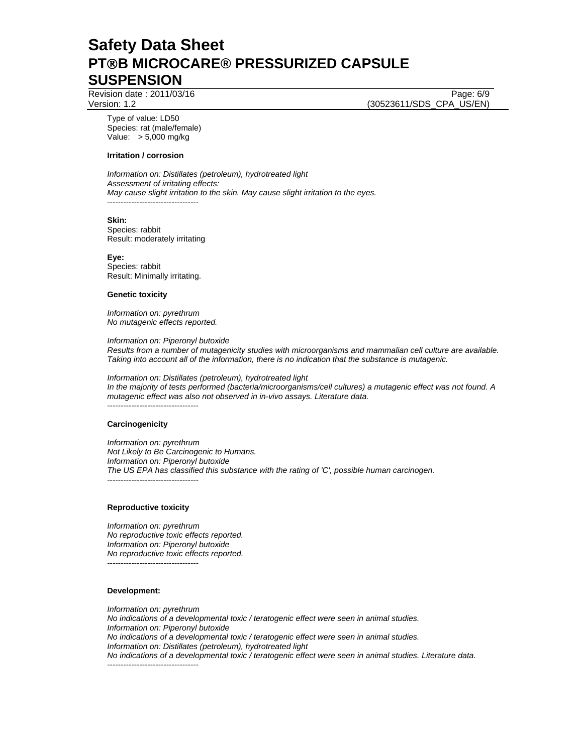Revision date : 2011/03/16 Page: 6/9

Version: 1.2 (30523611/SDS\_CPA\_US/EN)

Type of value: LD50 Species: rat (male/female) Value: > 5,000 mg/kg

#### **Irritation / corrosion**

*Information on: Distillates (petroleum), hydrotreated light Assessment of irritating effects: May cause slight irritation to the skin. May cause slight irritation to the eyes.*  ----------------------------------

#### **Skin:**

Species: rabbit Result: moderately irritating

**Eye:** Species: rabbit Result: Minimally irritating.

#### **Genetic toxicity**

*Information on: pyrethrum No mutagenic effects reported.* 

*Information on: Piperonyl butoxide Results from a number of mutagenicity studies with microorganisms and mammalian cell culture are available. Taking into account all of the information, there is no indication that the substance is mutagenic.* 

*Information on: Distillates (petroleum), hydrotreated light In the majority of tests performed (bacteria/microorganisms/cell cultures) a mutagenic effect was not found. A mutagenic effect was also not observed in in-vivo assays. Literature data.*  ----------------------------------

#### **Carcinogenicity**

*Information on: pyrethrum Not Likely to Be Carcinogenic to Humans. Information on: Piperonyl butoxide The US EPA has classified this substance with the rating of 'C', possible human carcinogen.*  ----------------------------------

#### **Reproductive toxicity**

*Information on: pyrethrum No reproductive toxic effects reported. Information on: Piperonyl butoxide No reproductive toxic effects reported.*  ----------------------------------

#### **Development:**

*Information on: pyrethrum No indications of a developmental toxic / teratogenic effect were seen in animal studies. Information on: Piperonyl butoxide No indications of a developmental toxic / teratogenic effect were seen in animal studies. Information on: Distillates (petroleum), hydrotreated light No indications of a developmental toxic / teratogenic effect were seen in animal studies. Literature data.*  ----------------------------------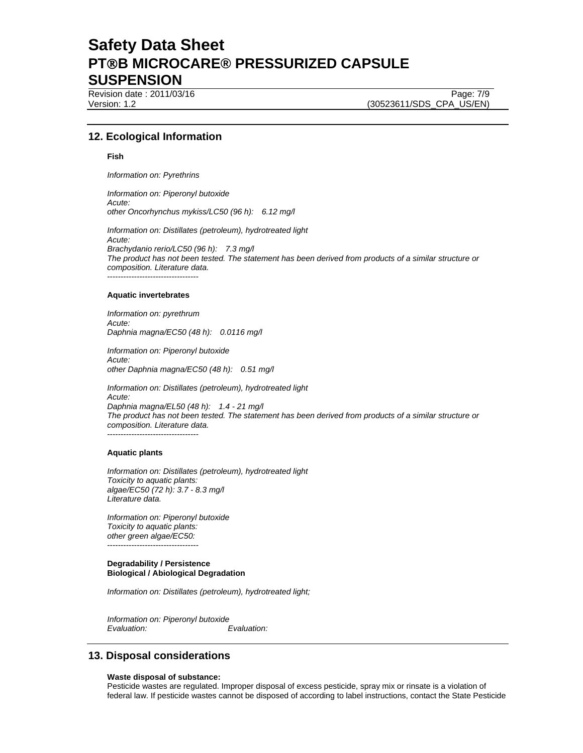Revision date : 2011/03/16 Page: 7/9

Version: 1.2 (30523611/SDS\_CPA\_US/EN)

### **12. Ecological Information**

#### **Fish**

*Information on: Pyrethrins* 

*Information on: Piperonyl butoxide Acute: other Oncorhynchus mykiss/LC50 (96 h): 6.12 mg/l* 

*Information on: Distillates (petroleum), hydrotreated light Acute: Brachydanio rerio/LC50 (96 h): 7.3 mg/l The product has not been tested. The statement has been derived from products of a similar structure or composition. Literature data.*  ----------------------------------

#### **Aquatic invertebrates**

*Information on: pyrethrum Acute: Daphnia magna/EC50 (48 h): 0.0116 mg/l* 

*Information on: Piperonyl butoxide Acute: other Daphnia magna/EC50 (48 h): 0.51 mg/l* 

*Information on: Distillates (petroleum), hydrotreated light Acute: Daphnia magna/EL50 (48 h): 1.4 - 21 mg/l The product has not been tested. The statement has been derived from products of a similar structure or composition. Literature data.*  .<br>------------------------------

#### **Aquatic plants**

*Information on: Distillates (petroleum), hydrotreated light Toxicity to aquatic plants: algae/EC50 (72 h): 3.7 - 8.3 mg/l Literature data.* 

*Information on: Piperonyl butoxide Toxicity to aquatic plants: other green algae/EC50:*  ----------------------------------

#### **Degradability / Persistence Biological / Abiological Degradation**

*Information on: Distillates (petroleum), hydrotreated light;* 

*Information on: Piperonyl butoxide Evaluation: Evaluation:* 

### **13. Disposal considerations**

#### **Waste disposal of substance:**

Pesticide wastes are regulated. Improper disposal of excess pesticide, spray mix or rinsate is a violation of federal law. If pesticide wastes cannot be disposed of according to label instructions, contact the State Pesticide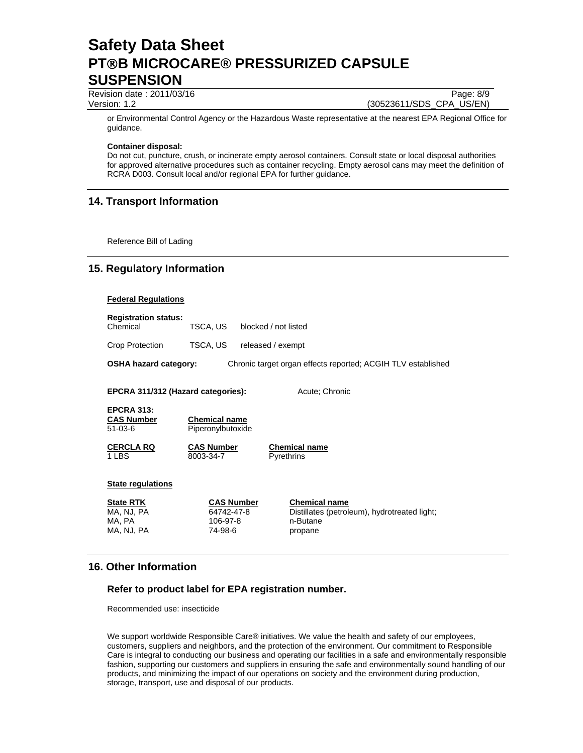Revision date : 2011/03/16 Page: 8/9

Version: 1.2 (30523611/SDS\_CPA\_US/EN)

or Environmental Control Agency or the Hazardous Waste representative at the nearest EPA Regional Office for guidance.

## **Container disposal:**

Do not cut, puncture, crush, or incinerate empty aerosol containers. Consult state or local disposal authorities for approved alternative procedures such as container recycling. Empty aerosol cans may meet the definition of RCRA D003. Consult local and/or regional EPA for further guidance.

## **14. Transport Information**

Reference Bill of Lading

## **15. Regulatory Information**

### **Federal Regulations**

| <b>Registration status:</b><br>Chemical | TSCA. US | blocked / not listed                                         |
|-----------------------------------------|----------|--------------------------------------------------------------|
| Crop Protection                         | TSCA. US | released / exempt                                            |
| OSHA hazard category:                   |          | Chronic target organ effects reported: ACGIH TLV established |

**EPCRA 311/312 (Hazard categories):** Acute; Chronic

**EPCRA 313: CAS Number Chemical name** 51-03-6 Piperonylbutoxide

8003-34-7 Pyrethrins

**CERCLA RQ CAS Number**<br>1 LBS 8003-34-7 Pyrethrins

### **State regulations**

| <b>State RTK</b> |  |
|------------------|--|
| MA, NJ, PA       |  |
| MA. PA           |  |
| MA. NJ. PA       |  |

106-97-8 n-Butane 74-98-6 propane

**CAS Number**<br>64742-47-8 **Chemical name**<br>Distillates (petrole Distillates (petroleum), hydrotreated light;

## **16. Other Information**

## **Refer to product label for EPA registration number.**

Recommended use: insecticide

We support worldwide Responsible Care® initiatives. We value the health and safety of our employees, customers, suppliers and neighbors, and the protection of the environment. Our commitment to Responsible Care is integral to conducting our business and operating our facilities in a safe and environmentally responsible fashion, supporting our customers and suppliers in ensuring the safe and environmentally sound handling of our products, and minimizing the impact of our operations on society and the environment during production, storage, transport, use and disposal of our products.